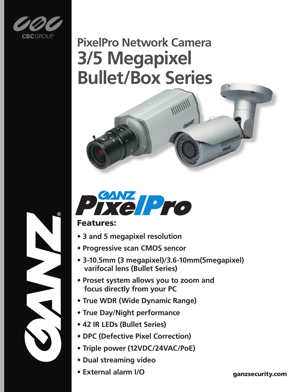

# **PixelPro Network Camera 3/5 Megapixel Bullet/Box Series**



#### Features:

- **3 and 5 megapixel resolution**
- **Progressive scan CMOS sencor**
- **3-10.5mm (3 megapixel)/3.6-10mm(5megapixel) varifocal lens (Bullet Series)**
- **Proset system allows you to zoom and focus directly from your PC**
- **True WDR (Wide Dynamic Range)**
- **True Day/Night performance**
- **42 IR LEDs (Bullet Series)**
- **DPC (Defective Pixel Correction)**
- **Triple power (12VDC/24VAC/PoE)**
- **Dual streaming video**
- **External alarm I/O**

ganzsecurity.com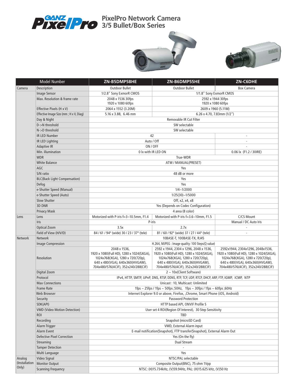

**PixelPro Network Camera 3/5 Bullet/Box Series**





|                        | <b>Model Number</b>                    | ZN-B5DMP58HE                                                                                                                                                           | ZN-B6DMP55HE                                                                                                                                                                                     | ZN-C6DHE                                                                                                                                                                                   |  |  |
|------------------------|----------------------------------------|------------------------------------------------------------------------------------------------------------------------------------------------------------------------|--------------------------------------------------------------------------------------------------------------------------------------------------------------------------------------------------|--------------------------------------------------------------------------------------------------------------------------------------------------------------------------------------------|--|--|
| Camera                 | Description                            | <b>Outdoor Bullet</b>                                                                                                                                                  | <b>Outdoor Bullet</b>                                                                                                                                                                            | <b>Box Camera</b>                                                                                                                                                                          |  |  |
|                        | Image Sensor                           | 1/2.8" Sony ExmorR CMOS                                                                                                                                                | 1/1.8" Sony ExmorR CMOS                                                                                                                                                                          |                                                                                                                                                                                            |  |  |
|                        | Max. Resolution & frame rate           | 2048 x 1536 30fps<br>2592 x 1944 30fps                                                                                                                                 |                                                                                                                                                                                                  |                                                                                                                                                                                            |  |  |
|                        |                                        | 1920 x 1080 60fps                                                                                                                                                      | 1920 x 1080 60fps                                                                                                                                                                                |                                                                                                                                                                                            |  |  |
|                        | Effective Pixels (H x V)               | 2064 x 1552 (3.20M)                                                                                                                                                    | 2609 x 1960 (5.11M)                                                                                                                                                                              |                                                                                                                                                                                            |  |  |
|                        | Effective Image Size (mm; H x V, Diag) | 5.16 x 3.88, 6.46 mm                                                                                                                                                   | $6.26 \times 4.70$ , 7.83mm (1/2")                                                                                                                                                               |                                                                                                                                                                                            |  |  |
|                        | Day & Night                            | Removable IR Cut Filter                                                                                                                                                |                                                                                                                                                                                                  |                                                                                                                                                                                            |  |  |
|                        | D->N threshold                         | SW selectable                                                                                                                                                          |                                                                                                                                                                                                  |                                                                                                                                                                                            |  |  |
|                        | N->D threshold                         | SW selectable                                                                                                                                                          |                                                                                                                                                                                                  |                                                                                                                                                                                            |  |  |
|                        | IR LED Number                          | 42                                                                                                                                                                     |                                                                                                                                                                                                  |                                                                                                                                                                                            |  |  |
|                        | IR LED Lighting                        | Auto / Off                                                                                                                                                             |                                                                                                                                                                                                  |                                                                                                                                                                                            |  |  |
|                        | <b>Adaptive IR</b>                     | ON / OFF                                                                                                                                                               |                                                                                                                                                                                                  |                                                                                                                                                                                            |  |  |
|                        | Min. illumination                      | 0 lx with IR LED ON                                                                                                                                                    |                                                                                                                                                                                                  | 0.06 lx (F1.2 / 30IRE)                                                                                                                                                                     |  |  |
|                        | <b>WDR</b>                             | True-WDR                                                                                                                                                               |                                                                                                                                                                                                  |                                                                                                                                                                                            |  |  |
|                        | <b>White Balance</b>                   | ATW / MANUAL(PRESET)                                                                                                                                                   |                                                                                                                                                                                                  |                                                                                                                                                                                            |  |  |
|                        | AGC                                    | Yes                                                                                                                                                                    |                                                                                                                                                                                                  |                                                                                                                                                                                            |  |  |
|                        | S/N ratio                              | 48 dB or more                                                                                                                                                          |                                                                                                                                                                                                  |                                                                                                                                                                                            |  |  |
|                        | <b>BLC(Back Light Compensation)</b>    | Yes                                                                                                                                                                    |                                                                                                                                                                                                  |                                                                                                                                                                                            |  |  |
|                        | Defog                                  | Yes                                                                                                                                                                    |                                                                                                                                                                                                  |                                                                                                                                                                                            |  |  |
|                        | e-Shutter Speed (Manual)               | $1/4 - 1/2000$                                                                                                                                                         |                                                                                                                                                                                                  |                                                                                                                                                                                            |  |  |
|                        | e-Shutter Speed (Auto)                 | $1/25(30)$ ~1/5000                                                                                                                                                     |                                                                                                                                                                                                  |                                                                                                                                                                                            |  |  |
|                        | Slow Shutter                           | Off, x2, x4, x8                                                                                                                                                        |                                                                                                                                                                                                  |                                                                                                                                                                                            |  |  |
|                        | <b>3D DNR</b>                          | Yes (Depends on Codec Configuration)                                                                                                                                   |                                                                                                                                                                                                  |                                                                                                                                                                                            |  |  |
|                        | <b>Privacy Mask</b>                    | 4 area (8 color)                                                                                                                                                       |                                                                                                                                                                                                  |                                                                                                                                                                                            |  |  |
| Lens                   | Lens                                   | Motorized with P-iris f=3~10.5mm, F1.4                                                                                                                                 | Motorized with P-iris f=3.6~10mm, F1.5                                                                                                                                                           | C/CS Mount                                                                                                                                                                                 |  |  |
|                        | <b>Iris</b>                            | P-iris                                                                                                                                                                 |                                                                                                                                                                                                  | Manual / DC Auto Iris                                                                                                                                                                      |  |  |
|                        | <b>Optical Zoom</b>                    | 3.5x                                                                                                                                                                   | 2.7x                                                                                                                                                                                             |                                                                                                                                                                                            |  |  |
|                        | Field of View (H/V/D)                  | 84 / 61 / 94° (wide) 30 / 23 / 37° (tele)                                                                                                                              | 81 / 60 / 92° (wide) 37 / 27 / 44° (tele)                                                                                                                                                        |                                                                                                                                                                                            |  |  |
| <b>Network</b>         | <b>Network</b>                         | 10BASE-T, 100BASE-TX, RJ45                                                                                                                                             |                                                                                                                                                                                                  |                                                                                                                                                                                            |  |  |
|                        | Image Compression                      | H.264, MJPEG : Image quality: 100 Steps(Q value)                                                                                                                       |                                                                                                                                                                                                  |                                                                                                                                                                                            |  |  |
|                        | <b>Resolution</b>                      | 2048 x 1536,<br>1920 x 1080(Full HD), 1280 x 1024(SXGA),<br>1024x768(XGA), 1280 x 720(720p),<br>640 x 480(VGA), 640x360(HVGAW),<br>704x480/576(4CIF), 352x240/288(CIF) | 2592 x 1944, 2304 x 1296, 2048 x 1536,<br>1920 x 1080(Full HD), 1280 x 1024(SXGA),<br>1024x768(XGA), 1280 x 720(720p),<br>640 x 480(VGA), 640x360(HVGAW),<br>704x480/576(4CIF), 352x240/288(CIF) | 2592x1944, 2304x1296, 2048x1536,<br>1920 x 1080(Full HD), 1280 x 1024(SXGA),<br>1024x768(XGA), 1280 x 720(720p),<br>640 x 480(VGA), 640x360(HVGAW),<br>704x480/576(4CIF), 352x240/288(CIF) |  |  |
|                        | Digital Zoom                           | $2 \sim 10x$ (Client Software)                                                                                                                                         |                                                                                                                                                                                                  |                                                                                                                                                                                            |  |  |
|                        | Protocol                               | IPv4, HTTP, SMTP, UPnP, DNS, RTSP, DDNS, RTP, TCP, UDP, RTCP, DHCP, ARP, FTP, IGMP, ICMP, NTP                                                                          |                                                                                                                                                                                                  |                                                                                                                                                                                            |  |  |
|                        | <b>Max Connections</b>                 | Unicast: 10. Multicast: Unlimited                                                                                                                                      |                                                                                                                                                                                                  |                                                                                                                                                                                            |  |  |
|                        | Frame Rate                             | 1fps $\sim$ 25fps / 1fps $\sim$ 50fps ;50Hz, 1fps $\sim$ 30fps / 1fps $\sim$ 60fps ;60Hz                                                                               |                                                                                                                                                                                                  |                                                                                                                                                                                            |  |  |
|                        | Web Browser                            |                                                                                                                                                                        | Internet Explorer 9.0 or above, Firefox, , Chrome, Smart Phone (iOS, Android)                                                                                                                    |                                                                                                                                                                                            |  |  |
|                        | Security                               | <b>Password Protection</b>                                                                                                                                             |                                                                                                                                                                                                  |                                                                                                                                                                                            |  |  |
|                        | SDK(API)                               | HTTP based API, ONVIF Profile S                                                                                                                                        |                                                                                                                                                                                                  |                                                                                                                                                                                            |  |  |
|                        | <b>VMD (Video Motion Detection)</b>    | User set 4 ROI(Region Of Interest), 30 Step Sensitivity                                                                                                                |                                                                                                                                                                                                  |                                                                                                                                                                                            |  |  |
|                        | <b>ROI</b>                             | TBD                                                                                                                                                                    |                                                                                                                                                                                                  |                                                                                                                                                                                            |  |  |
|                        | Recording                              | Snapshot (microSD Card)                                                                                                                                                |                                                                                                                                                                                                  |                                                                                                                                                                                            |  |  |
|                        | Alarm Trigger                          | VMD, External Alarm input                                                                                                                                              |                                                                                                                                                                                                  |                                                                                                                                                                                            |  |  |
|                        | Alarm Event                            | E-mail notification(Snapshot), FTP transfer(Snapshot), External Alarm Out                                                                                              |                                                                                                                                                                                                  |                                                                                                                                                                                            |  |  |
|                        | <b>Defective Pixel Correction</b>      | Yes (On the fly)                                                                                                                                                       |                                                                                                                                                                                                  |                                                                                                                                                                                            |  |  |
|                        | Streaming                              | Dual Stream                                                                                                                                                            |                                                                                                                                                                                                  |                                                                                                                                                                                            |  |  |
|                        | <b>Tamper Detection</b>                |                                                                                                                                                                        |                                                                                                                                                                                                  |                                                                                                                                                                                            |  |  |
|                        | Multi Language                         | Yes                                                                                                                                                                    |                                                                                                                                                                                                  |                                                                                                                                                                                            |  |  |
| Analog                 | Video Signal                           | NTSC/PAL selectable                                                                                                                                                    |                                                                                                                                                                                                  |                                                                                                                                                                                            |  |  |
| (Installation<br>Only) | <b>Monitor Output</b>                  | Composite Output(BNC), 75 ohm 1Vpp                                                                                                                                     |                                                                                                                                                                                                  |                                                                                                                                                                                            |  |  |
|                        | <b>Scanning Frequency</b>              | NTSC: (H)15.734kHz, (V)59.94Hz, PAL: (H)15.625 kHz, (V)50 Hz                                                                                                           |                                                                                                                                                                                                  |                                                                                                                                                                                            |  |  |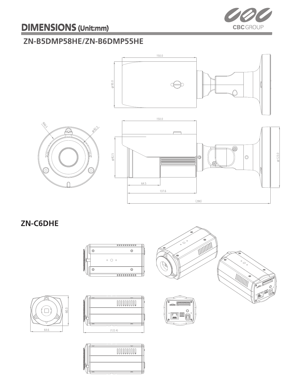

### **ZN-B5DMP58HE/ZN-B6DMP55HE**



**ZN-C6DHE**